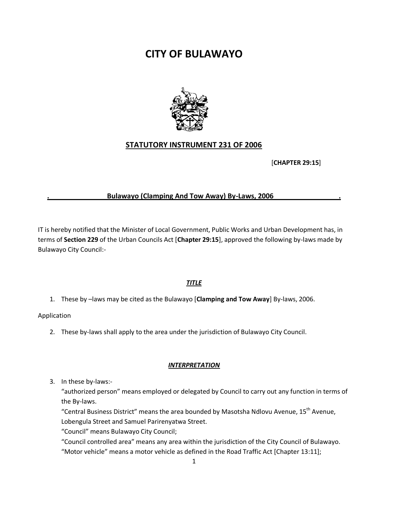# **CITY OF BULAWAYO**



## **STATUTORY INSTRUMENT 231 OF 2006**

[**CHAPTER 29:15**]

## **. Bulawayo (Clamping And Tow Away) By-Laws, 2006 .**

IT is hereby notified that the Minister of Local Government, Public Works and Urban Development has, in terms of **Section 229** of the Urban Councils Act [**Chapter 29:15**], approved the following by-laws made by Bulawayo City Council:-

## *TITLE*

1. These by –laws may be cited as the Bulawayo [**Clamping and Tow Away**] By-laws, 2006.

Application

2. These by-laws shall apply to the area under the jurisdiction of Bulawayo City Council.

## *INTERPRETATION*

3. In these by-laws:-

"authorized person" means employed or delegated by Council to carry out any function in terms of the By-laws.

"Central Business District" means the area bounded by Masotsha Ndlovu Avenue, 15th Avenue,

Lobengula Street and Samuel Parirenyatwa Street.

"Council" means Bulawayo City Council;

"Council controlled area" means any area within the jurisdiction of the City Council of Bulawayo. "Motor vehicle" means a motor vehicle as defined in the Road Traffic Act [Chapter 13:11];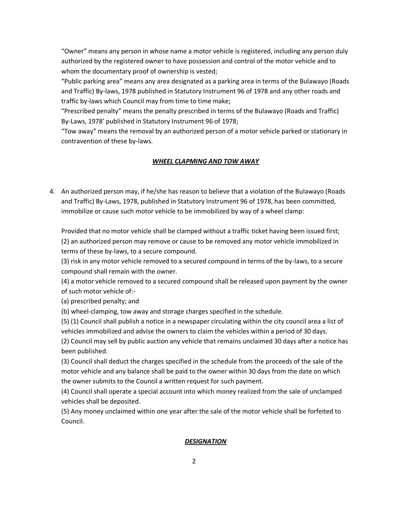"Owner" means any person in whose name a motor vehicle is registered, including any person duly authorized by the registered owner to have possession and control of the motor vehicle and to whom the documentary proof of ownership is vested;

"Public parking area" means any area designated as a parking area in terms of the Bulawayo (Roads and Traffic) By-laws, 1978 published in Statutory Instrument 96 of 1978 and any other roads and traffic by-laws which Council may from time to time make;

"Prescribed penalty" means the penalty prescribed in terms of the Bulawayo (Roads and Traffic) By-Laws, 1978' published in Statutory Instrument 96 of 1978;

"Tow away" means the removal by an authorized person of a motor vehicle parked or stationary in contravention of these by-laws.

## *WHEEL CLAPMING AND TOW AWAY*

4. An authorized person may, if he/she has reason to believe that a violation of the Bulawayo (Roads and Traffic) By-Laws, 1978, published in Statutory Instrument 96 of 1978, has been committed, immobilize or cause such motor vehicle to be immobilized by way of a wheel clamp:

Provided that no motor vehicle shall be clamped without a traffic ticket having been issued first; (2) an authorized person may remove or cause to be removed any motor vehicle immobilized in terms of these by-laws, to a secure compound.

(3) risk in any motor vehicle removed to a secured compound in terms of the by-laws, to a secure compound shall remain with the owner.

(4) a motor vehicle removed to a secured compound shall be released upon payment by the owner of such motor vehicle of:-

(a) prescribed penalty; and

(b) wheel-clamping, tow away and storage charges specified in the schedule.

(5) (1) Council shall publish a notice in a newspaper circulating within the city council area a list of vehicles immobilized and advise the owners to claim the vehicles within a period of 30 days.

(2) Council may sell by public auction any vehicle that remains unclaimed 30 days after a notice has been published.

(3) Council shall deduct the charges specified in the schedule from the proceeds of the sale of the motor vehicle and any balance shall be paid to the owner within 30 days from the date on which the owner submits to the Council a written request for such payment.

(4) Council shall operate a special account into which money realized from the sale of unclamped vehicles shall be deposited.

(5) Any money unclaimed within one year after the sale of the motor vehicle shall be forfeited to Council.

## *DESIGNATION*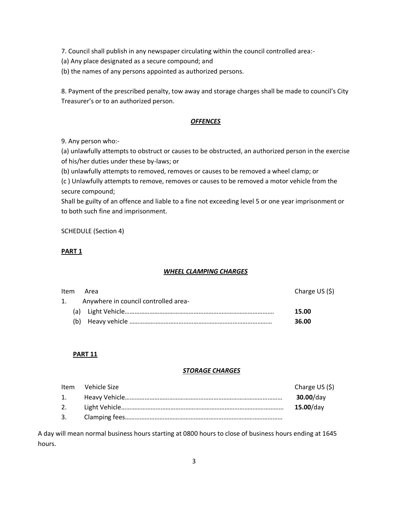7. Council shall publish in any newspaper circulating within the council controlled area:-

(a) Any place designated as a secure compound; and

(b) the names of any persons appointed as authorized persons.

8. Payment of the prescribed penalty, tow away and storage charges shall be made to council's City Treasurer's or to an authorized person.

#### *OFFENCES*

9. Any person who:-

(a) unlawfully attempts to obstruct or causes to be obstructed, an authorized person in the exercise of his/her duties under these by-laws; or

(b) unlawfully attempts to removed, removes or causes to be removed a wheel clamp; or

(c ) Unlawfully attempts to remove, removes or causes to be removed a motor vehicle from the secure compound;

Shall be guilty of an offence and liable to a fine not exceeding level 5 or one year imprisonment or to both such fine and imprisonment.

SCHEDULE (Section 4)

#### **PART 1**

## *WHEEL CLAMPING CHARGES*

| Charge US (\$) |
|----------------|
|                |
| 15.00          |
| 36.00          |
|                |

## **PART 11**

## *STORAGE CHARGES*

|    | Item Vehicle Size | Charge US (\$) |
|----|-------------------|----------------|
| 1. |                   | $30.00$ /day   |
| 2. |                   | $15.00$ /day   |
| 3. |                   |                |

A day will mean normal business hours starting at 0800 hours to close of business hours ending at 1645 hours.